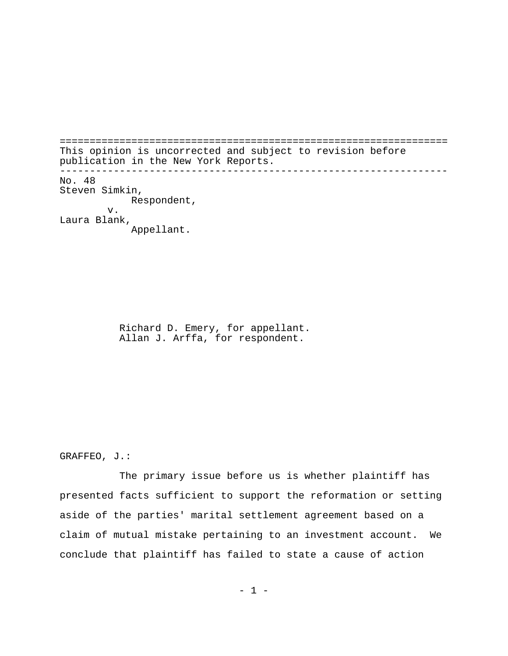================================================================= This opinion is uncorrected and subject to revision before publication in the New York Reports. ----------------------------------------------------------------- No. 48 Steven Simkin, Respondent, v. Laura Blank, Appellant.

> Richard D. Emery, for appellant. Allan J. Arffa, for respondent.

GRAFFEO, J.:

The primary issue before us is whether plaintiff has presented facts sufficient to support the reformation or setting aside of the parties' marital settlement agreement based on a claim of mutual mistake pertaining to an investment account. We conclude that plaintiff has failed to state a cause of action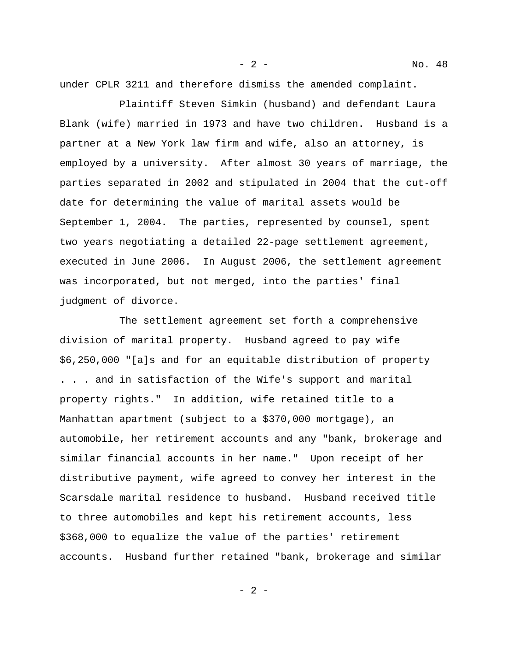under CPLR 3211 and therefore dismiss the amended complaint.

Plaintiff Steven Simkin (husband) and defendant Laura Blank (wife) married in 1973 and have two children. Husband is a partner at a New York law firm and wife, also an attorney, is employed by a university. After almost 30 years of marriage, the parties separated in 2002 and stipulated in 2004 that the cut-off date for determining the value of marital assets would be September 1, 2004. The parties, represented by counsel, spent two years negotiating a detailed 22-page settlement agreement, executed in June 2006. In August 2006, the settlement agreement was incorporated, but not merged, into the parties' final judgment of divorce.

The settlement agreement set forth a comprehensive division of marital property. Husband agreed to pay wife \$6,250,000 "[a]s and for an equitable distribution of property . . . and in satisfaction of the Wife's support and marital property rights." In addition, wife retained title to a Manhattan apartment (subject to a \$370,000 mortgage), an automobile, her retirement accounts and any "bank, brokerage and similar financial accounts in her name." Upon receipt of her distributive payment, wife agreed to convey her interest in the Scarsdale marital residence to husband. Husband received title to three automobiles and kept his retirement accounts, less \$368,000 to equalize the value of the parties' retirement accounts. Husband further retained "bank, brokerage and similar

- 2 - No. 48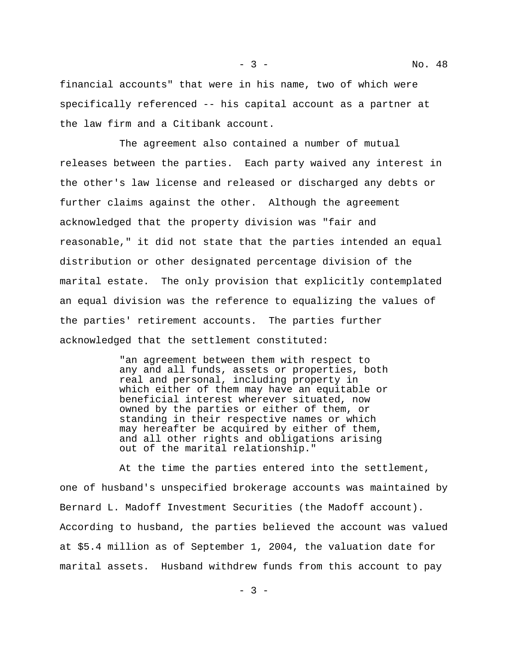financial accounts" that were in his name, two of which were specifically referenced -- his capital account as a partner at the law firm and a Citibank account.

The agreement also contained a number of mutual releases between the parties. Each party waived any interest in the other's law license and released or discharged any debts or further claims against the other. Although the agreement acknowledged that the property division was "fair and reasonable," it did not state that the parties intended an equal distribution or other designated percentage division of the marital estate. The only provision that explicitly contemplated an equal division was the reference to equalizing the values of the parties' retirement accounts. The parties further acknowledged that the settlement constituted:

> "an agreement between them with respect to any and all funds, assets or properties, both real and personal, including property in which either of them may have an equitable or beneficial interest wherever situated, now owned by the parties or either of them, or standing in their respective names or which may hereafter be acquired by either of them, and all other rights and obligations arising out of the marital relationship."

At the time the parties entered into the settlement, one of husband's unspecified brokerage accounts was maintained by Bernard L. Madoff Investment Securities (the Madoff account). According to husband, the parties believed the account was valued at \$5.4 million as of September 1, 2004, the valuation date for marital assets. Husband withdrew funds from this account to pay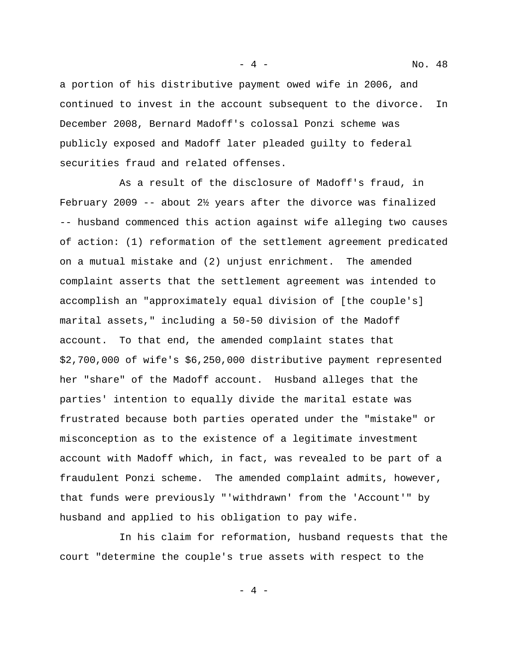a portion of his distributive payment owed wife in 2006, and continued to invest in the account subsequent to the divorce. In December 2008, Bernard Madoff's colossal Ponzi scheme was publicly exposed and Madoff later pleaded guilty to federal securities fraud and related offenses.

As a result of the disclosure of Madoff's fraud, in February 2009 -- about 2½ years after the divorce was finalized -- husband commenced this action against wife alleging two causes of action: (1) reformation of the settlement agreement predicated on a mutual mistake and (2) unjust enrichment. The amended complaint asserts that the settlement agreement was intended to accomplish an "approximately equal division of [the couple's] marital assets," including a 50-50 division of the Madoff account. To that end, the amended complaint states that \$2,700,000 of wife's \$6,250,000 distributive payment represented her "share" of the Madoff account. Husband alleges that the parties' intention to equally divide the marital estate was frustrated because both parties operated under the "mistake" or misconception as to the existence of a legitimate investment account with Madoff which, in fact, was revealed to be part of a fraudulent Ponzi scheme. The amended complaint admits, however, that funds were previously "'withdrawn' from the 'Account'" by husband and applied to his obligation to pay wife.

In his claim for reformation, husband requests that the court "determine the couple's true assets with respect to the

 $-4 -$ 

- 4 - No. 48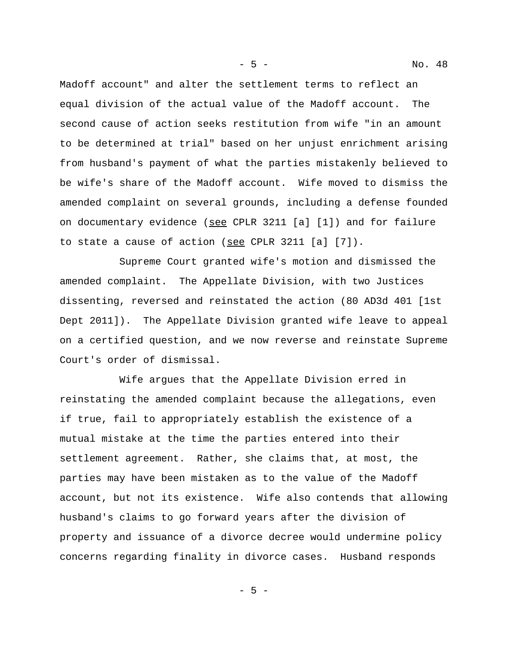Madoff account" and alter the settlement terms to reflect an equal division of the actual value of the Madoff account. The second cause of action seeks restitution from wife "in an amount to be determined at trial" based on her unjust enrichment arising from husband's payment of what the parties mistakenly believed to be wife's share of the Madoff account. Wife moved to dismiss the amended complaint on several grounds, including a defense founded on documentary evidence (see CPLR 3211 [a] [1]) and for failure to state a cause of action (see CPLR 3211 [a] [7]).

Supreme Court granted wife's motion and dismissed the amended complaint. The Appellate Division, with two Justices dissenting, reversed and reinstated the action (80 AD3d 401 [1st Dept 2011]). The Appellate Division granted wife leave to appeal on a certified question, and we now reverse and reinstate Supreme Court's order of dismissal.

Wife argues that the Appellate Division erred in reinstating the amended complaint because the allegations, even if true, fail to appropriately establish the existence of a mutual mistake at the time the parties entered into their settlement agreement. Rather, she claims that, at most, the parties may have been mistaken as to the value of the Madoff account, but not its existence. Wife also contends that allowing husband's claims to go forward years after the division of property and issuance of a divorce decree would undermine policy concerns regarding finality in divorce cases. Husband responds

 $-5 -$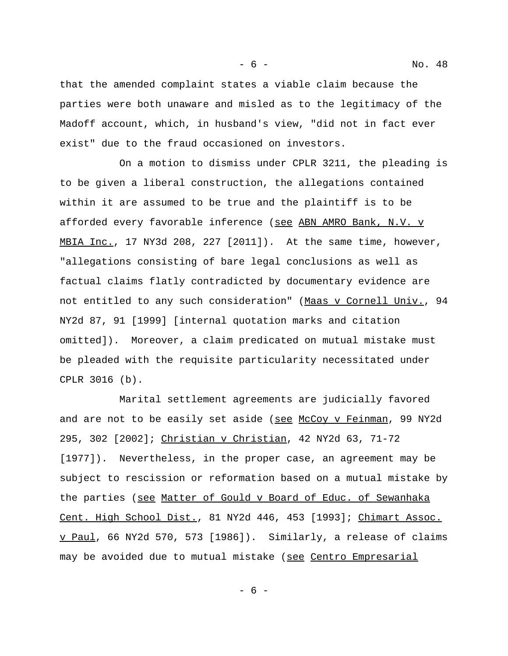that the amended complaint states a viable claim because the parties were both unaware and misled as to the legitimacy of the Madoff account, which, in husband's view, "did not in fact ever exist" due to the fraud occasioned on investors.

On a motion to dismiss under CPLR 3211, the pleading is to be given a liberal construction, the allegations contained within it are assumed to be true and the plaintiff is to be afforded every favorable inference (see ABN AMRO Bank, N.V. v MBIA Inc., 17 NY3d 208, 227 [2011]). At the same time, however, "allegations consisting of bare legal conclusions as well as factual claims flatly contradicted by documentary evidence are not entitled to any such consideration" (Maas v Cornell Univ., 94 NY2d 87, 91 [1999] [internal quotation marks and citation omitted]). Moreover, a claim predicated on mutual mistake must be pleaded with the requisite particularity necessitated under CPLR 3016 (b).

Marital settlement agreements are judicially favored and are not to be easily set aside (see McCoy v Feinman, 99 NY2d 295, 302 [2002]; Christian v Christian, 42 NY2d 63, 71-72 [1977]). Nevertheless, in the proper case, an agreement may be subject to rescission or reformation based on a mutual mistake by the parties (see Matter of Gould v Board of Educ. of Sewanhaka Cent. High School Dist., 81 NY2d 446, 453 [1993]; Chimart Assoc. v Paul, 66 NY2d 570, 573 [1986]). Similarly, a release of claims may be avoided due to mutual mistake (see Centro Empresarial

- 6 -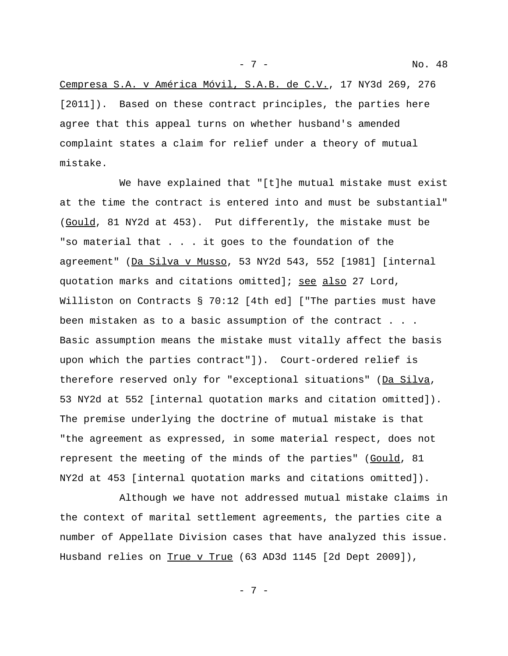Cempresa S.A. v América Móvil, S.A.B. de C.V., 17 NY3d 269, 276 [2011]). Based on these contract principles, the parties here agree that this appeal turns on whether husband's amended complaint states a claim for relief under a theory of mutual mistake.

We have explained that "[t]he mutual mistake must exist at the time the contract is entered into and must be substantial" (Gould, 81 NY2d at 453). Put differently, the mistake must be "so material that . . . it goes to the foundation of the agreement" (Da Silva v Musso, 53 NY2d 543, 552 [1981] [internal quotation marks and citations omitted]; see also 27 Lord, Williston on Contracts § 70:12 [4th ed] ["The parties must have been mistaken as to a basic assumption of the contract . . . Basic assumption means the mistake must vitally affect the basis upon which the parties contract"]). Court-ordered relief is therefore reserved only for "exceptional situations" (Da Silva, 53 NY2d at 552 [internal quotation marks and citation omitted]). The premise underlying the doctrine of mutual mistake is that "the agreement as expressed, in some material respect, does not represent the meeting of the minds of the parties" (Gould, 81 NY2d at 453 [internal quotation marks and citations omitted]).

Although we have not addressed mutual mistake claims in the context of marital settlement agreements, the parties cite a number of Appellate Division cases that have analyzed this issue. Husband relies on True v True (63 AD3d 1145 [2d Dept 2009]),

- 7 - No. 48

- 7 -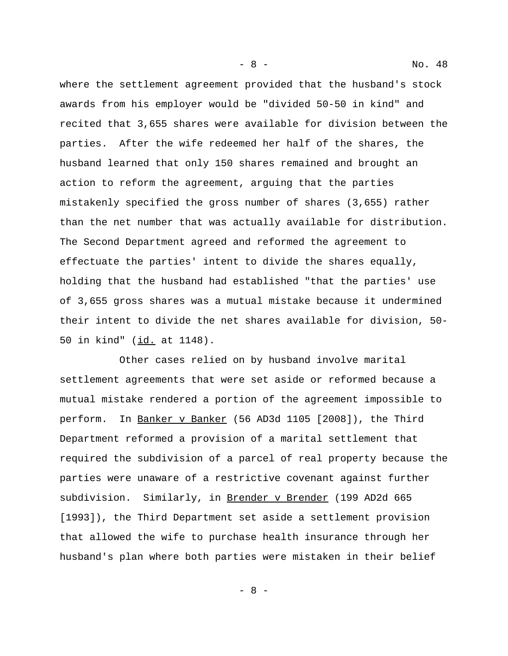where the settlement agreement provided that the husband's stock awards from his employer would be "divided 50-50 in kind" and recited that 3,655 shares were available for division between the parties. After the wife redeemed her half of the shares, the husband learned that only 150 shares remained and brought an action to reform the agreement, arguing that the parties mistakenly specified the gross number of shares (3,655) rather than the net number that was actually available for distribution. The Second Department agreed and reformed the agreement to effectuate the parties' intent to divide the shares equally, holding that the husband had established "that the parties' use of 3,655 gross shares was a mutual mistake because it undermined their intent to divide the net shares available for division, 50- 50 in kind" (id. at 1148).

Other cases relied on by husband involve marital settlement agreements that were set aside or reformed because a mutual mistake rendered a portion of the agreement impossible to perform. In Banker v Banker (56 AD3d 1105 [2008]), the Third Department reformed a provision of a marital settlement that required the subdivision of a parcel of real property because the parties were unaware of a restrictive covenant against further subdivision. Similarly, in Brender v Brender (199 AD2d 665 [1993]), the Third Department set aside a settlement provision that allowed the wife to purchase health insurance through her husband's plan where both parties were mistaken in their belief

- 8 -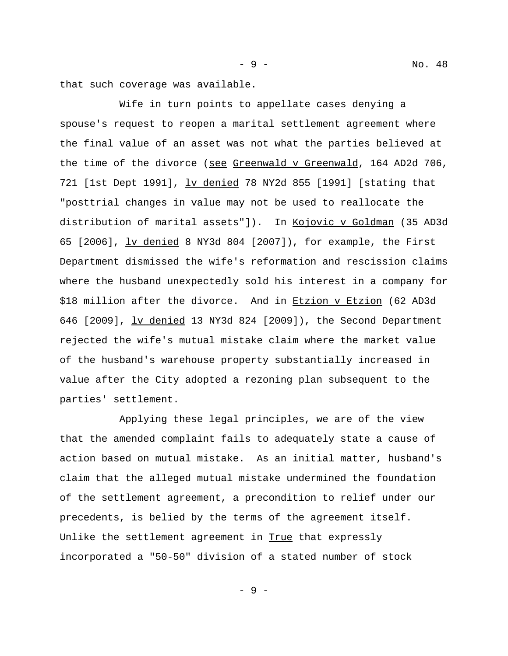that such coverage was available.

Wife in turn points to appellate cases denying a spouse's request to reopen a marital settlement agreement where the final value of an asset was not what the parties believed at the time of the divorce (see Greenwald v Greenwald, 164 AD2d 706, 721 [1st Dept 1991], lv denied 78 NY2d 855 [1991] [stating that "posttrial changes in value may not be used to reallocate the distribution of marital assets"]). In Kojovic v Goldman (35 AD3d 65 [2006], lv denied 8 NY3d 804 [2007]), for example, the First Department dismissed the wife's reformation and rescission claims where the husband unexpectedly sold his interest in a company for \$18 million after the divorce. And in Etzion v Etzion (62 AD3d 646 [2009], lv denied 13 NY3d 824 [2009]), the Second Department rejected the wife's mutual mistake claim where the market value of the husband's warehouse property substantially increased in value after the City adopted a rezoning plan subsequent to the parties' settlement.

Applying these legal principles, we are of the view that the amended complaint fails to adequately state a cause of action based on mutual mistake. As an initial matter, husband's claim that the alleged mutual mistake undermined the foundation of the settlement agreement, a precondition to relief under our precedents, is belied by the terms of the agreement itself. Unlike the settlement agreement in True that expressly incorporated a "50-50" division of a stated number of stock

- 9 -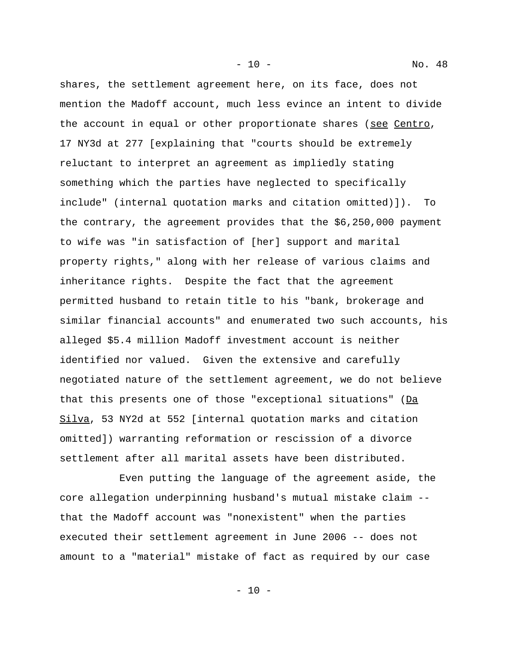shares, the settlement agreement here, on its face, does not mention the Madoff account, much less evince an intent to divide the account in equal or other proportionate shares (see Centro, 17 NY3d at 277 [explaining that "courts should be extremely reluctant to interpret an agreement as impliedly stating something which the parties have neglected to specifically include" (internal quotation marks and citation omitted)]). To the contrary, the agreement provides that the \$6,250,000 payment to wife was "in satisfaction of [her] support and marital property rights," along with her release of various claims and inheritance rights. Despite the fact that the agreement permitted husband to retain title to his "bank, brokerage and similar financial accounts" and enumerated two such accounts, his alleged \$5.4 million Madoff investment account is neither identified nor valued. Given the extensive and carefully negotiated nature of the settlement agreement, we do not believe that this presents one of those "exceptional situations" ( $Da$ Silva, 53 NY2d at 552 [internal quotation marks and citation omitted]) warranting reformation or rescission of a divorce settlement after all marital assets have been distributed.

- 10 - No. 48

Even putting the language of the agreement aside, the core allegation underpinning husband's mutual mistake claim - that the Madoff account was "nonexistent" when the parties executed their settlement agreement in June 2006 -- does not amount to a "material" mistake of fact as required by our case

- 10 -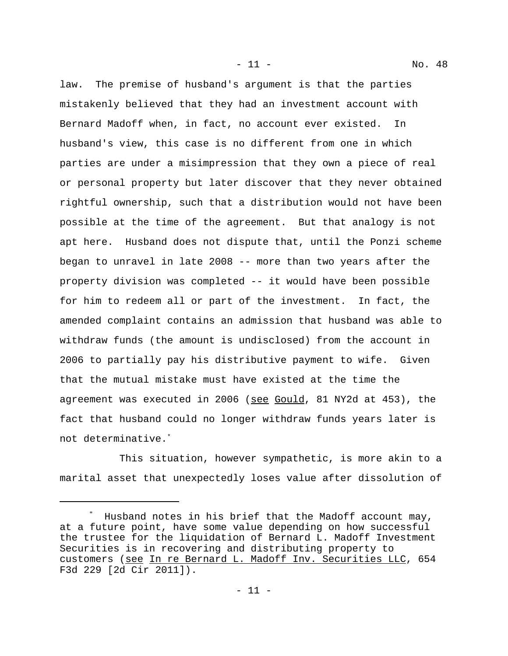law. The premise of husband's argument is that the parties mistakenly believed that they had an investment account with Bernard Madoff when, in fact, no account ever existed. In husband's view, this case is no different from one in which parties are under a misimpression that they own a piece of real or personal property but later discover that they never obtained rightful ownership, such that a distribution would not have been possible at the time of the agreement. But that analogy is not apt here. Husband does not dispute that, until the Ponzi scheme began to unravel in late 2008 -- more than two years after the property division was completed -- it would have been possible for him to redeem all or part of the investment. In fact, the amended complaint contains an admission that husband was able to withdraw funds (the amount is undisclosed) from the account in 2006 to partially pay his distributive payment to wife. Given that the mutual mistake must have existed at the time the agreement was executed in 2006 (see Gould, 81 NY2d at 453), the fact that husband could no longer withdraw funds years later is not determinative.\*

This situation, however sympathetic, is more akin to a marital asset that unexpectedly loses value after dissolution of

<sup>\*</sup> Husband notes in his brief that the Madoff account may, at a future point, have some value depending on how successful the trustee for the liquidation of Bernard L. Madoff Investment Securities is in recovering and distributing property to customers (see In re Bernard L. Madoff Inv. Securities LLC, 654 F3d 229 [2d Cir 2011]).